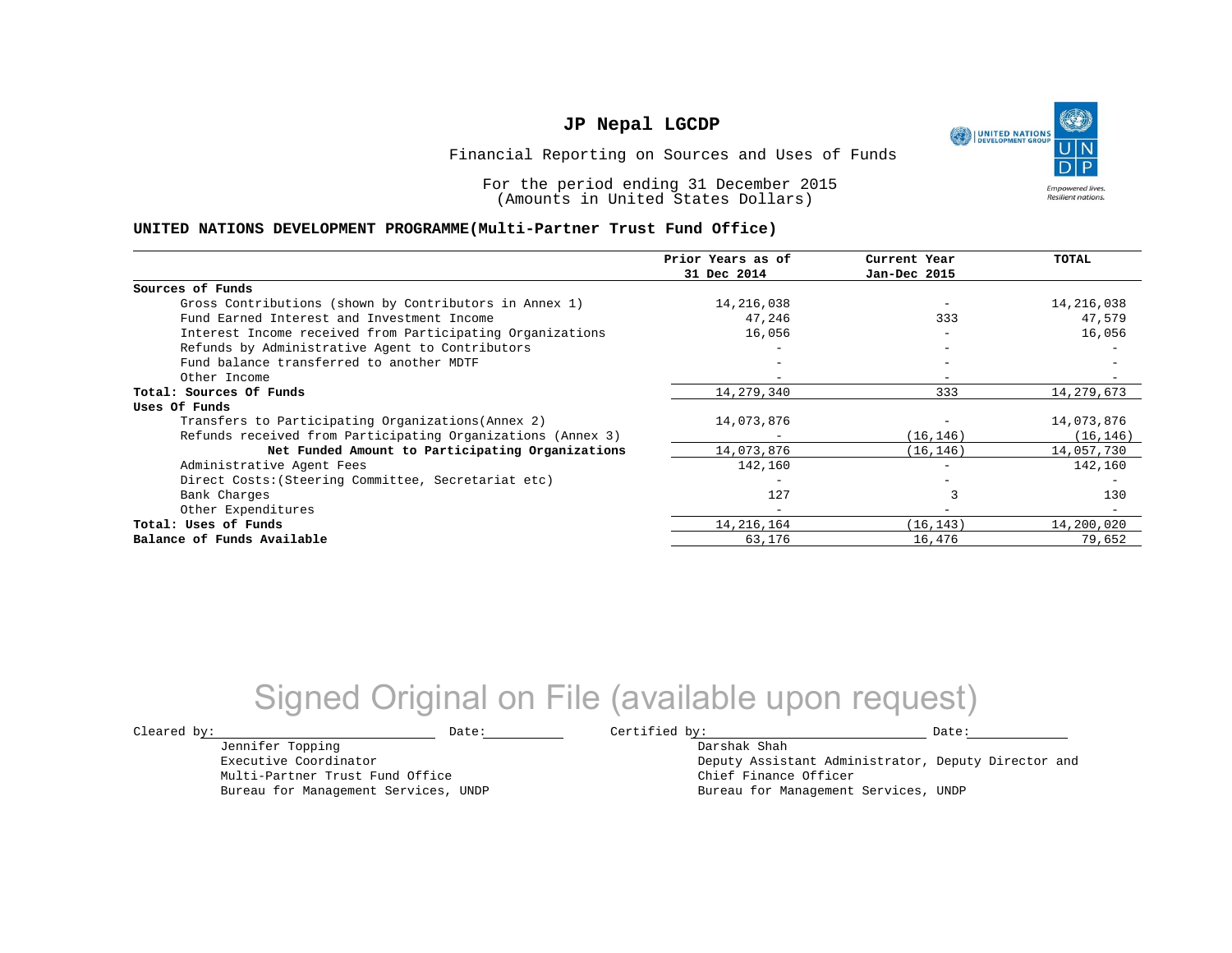UNITED NATIONS **Empowered lives Resilient nations.** 

Financial Reporting on Sources and Uses of Funds

For the period ending 31 December 2015 (Amounts in United States Dollars)

#### **UNITED NATIONS DEVELOPMENT PROGRAMME(Multi-Partner Trust Fund Office)**

|                                                             | Prior Years as of        | Current Year             | TOTAL      |
|-------------------------------------------------------------|--------------------------|--------------------------|------------|
|                                                             | 31 Dec 2014              | Jan-Dec 2015             |            |
| Sources of Funds                                            |                          |                          |            |
| Gross Contributions (shown by Contributors in Annex 1)      | 14,216,038               |                          | 14,216,038 |
| Fund Earned Interest and Investment Income                  | 47,246                   | 333                      | 47,579     |
| Interest Income received from Participating Organizations   | 16,056                   | $\overline{\phantom{0}}$ | 16,056     |
| Refunds by Administrative Agent to Contributors             |                          | $\overline{\phantom{0}}$ |            |
| Fund balance transferred to another MDTF                    |                          |                          |            |
| Other Income                                                |                          |                          |            |
| Total: Sources Of Funds                                     | 14,279,340               | 333                      | 14,279,673 |
| Uses Of Funds                                               |                          |                          |            |
| Transfers to Participating Organizations (Annex 2)          | 14,073,876               |                          | 14,073,876 |
| Refunds received from Participating Organizations (Annex 3) | -                        | (16, 146)                | (16, 146)  |
| Net Funded Amount to Participating Organizations            | 14,073,876               | (16, 146)                | 14,057,730 |
| Administrative Agent Fees                                   | 142,160                  |                          | 142,160    |
| Direct Costs: (Steering Committee, Secretariat etc)         |                          |                          |            |
| Bank Charges                                                | 127                      |                          | 130        |
| Other Expenditures                                          | $\overline{\phantom{0}}$ |                          |            |
| Total: Uses of Funds                                        | 14, 216, 164             | (16, 143)                | 14,200,020 |
| Balance of Funds Available                                  | 63,176                   | 16,476                   | 79,652     |

## Signed Original on File (available upon request)

 $\texttt{Cleared by:}\footnotesize \begin{minipage}{0.9\linewidth} \texttt{Date:}\footnotesize \begin{minipage}{0.9\linewidth} \texttt{Date:}\footnotesize \begin{minipage}{0.9\linewidth} \end{minipage} \end{minipage}$ 

Jennifer Topping Executive Coordinator

Multi-Partner Trust Fund Office Bureau for Management Services, UNDP

Darshak Shah Deputy Assistant Administrator, Deputy Director and Chief Finance Officer Bureau for Management Services, UNDP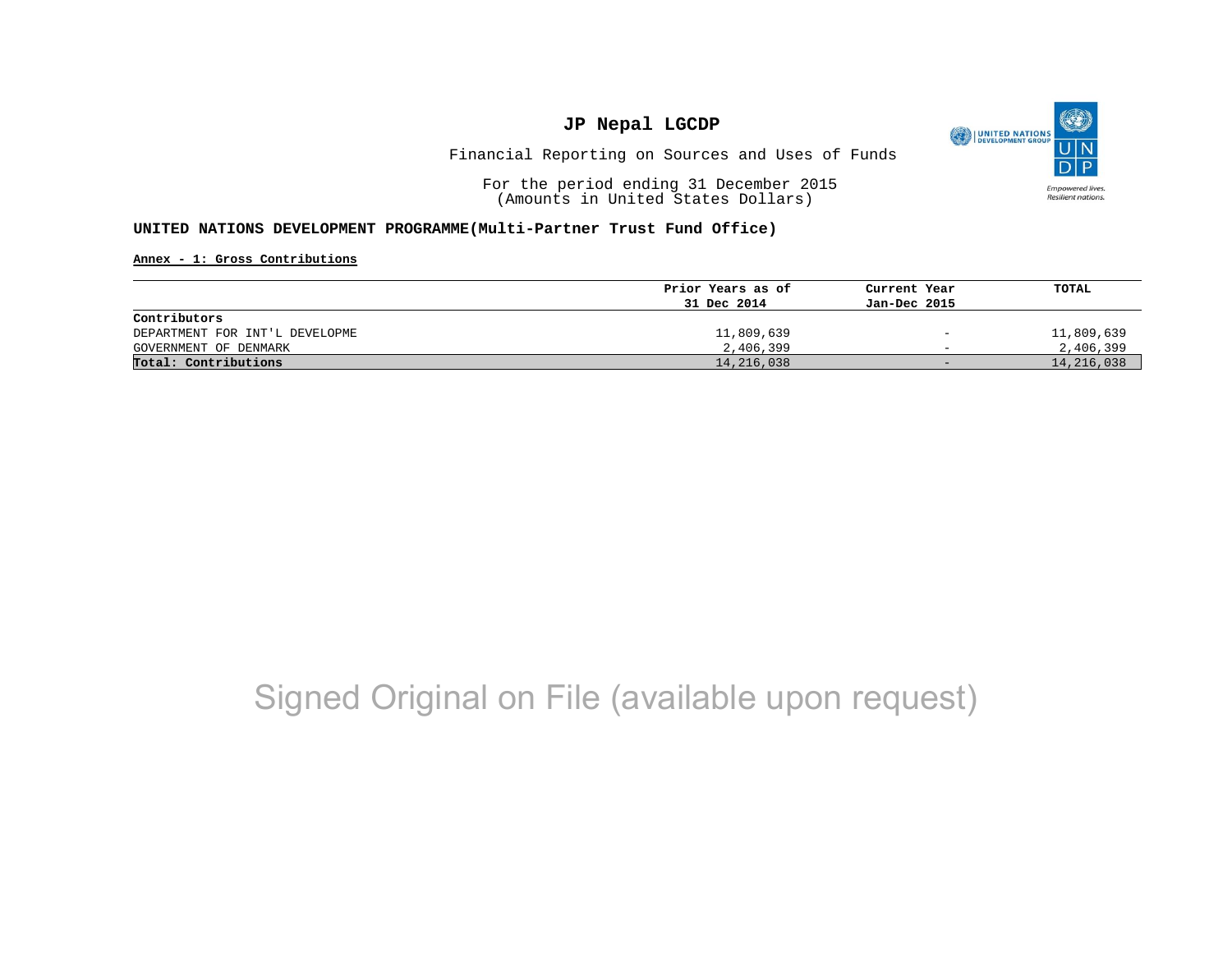

Financial Reporting on Sources and Uses of Funds

For the period ending 31 December 2015 (Amounts in United States Dollars)

#### **UNITED NATIONS DEVELOPMENT PROGRAMME(Multi-Partner Trust Fund Office)**

**Annex - 1: Gross Contributions**

|                                | Prior Years as of | Current Year             | TOTAL      |
|--------------------------------|-------------------|--------------------------|------------|
|                                | 31 Dec 2014       | Jan-Dec 2015             |            |
| Contributors                   |                   |                          |            |
| DEPARTMENT FOR INT'L DEVELOPME | 11,809,639        | $\overline{\phantom{a}}$ | 11,809,639 |
| GOVERNMENT OF DENMARK          | 2,406,399         | $\overline{\phantom{0}}$ | 2,406,399  |
| Total: Contributions           | 14,216,038        | $-$                      | 14,216,038 |

## Signed Original on File (available upon request)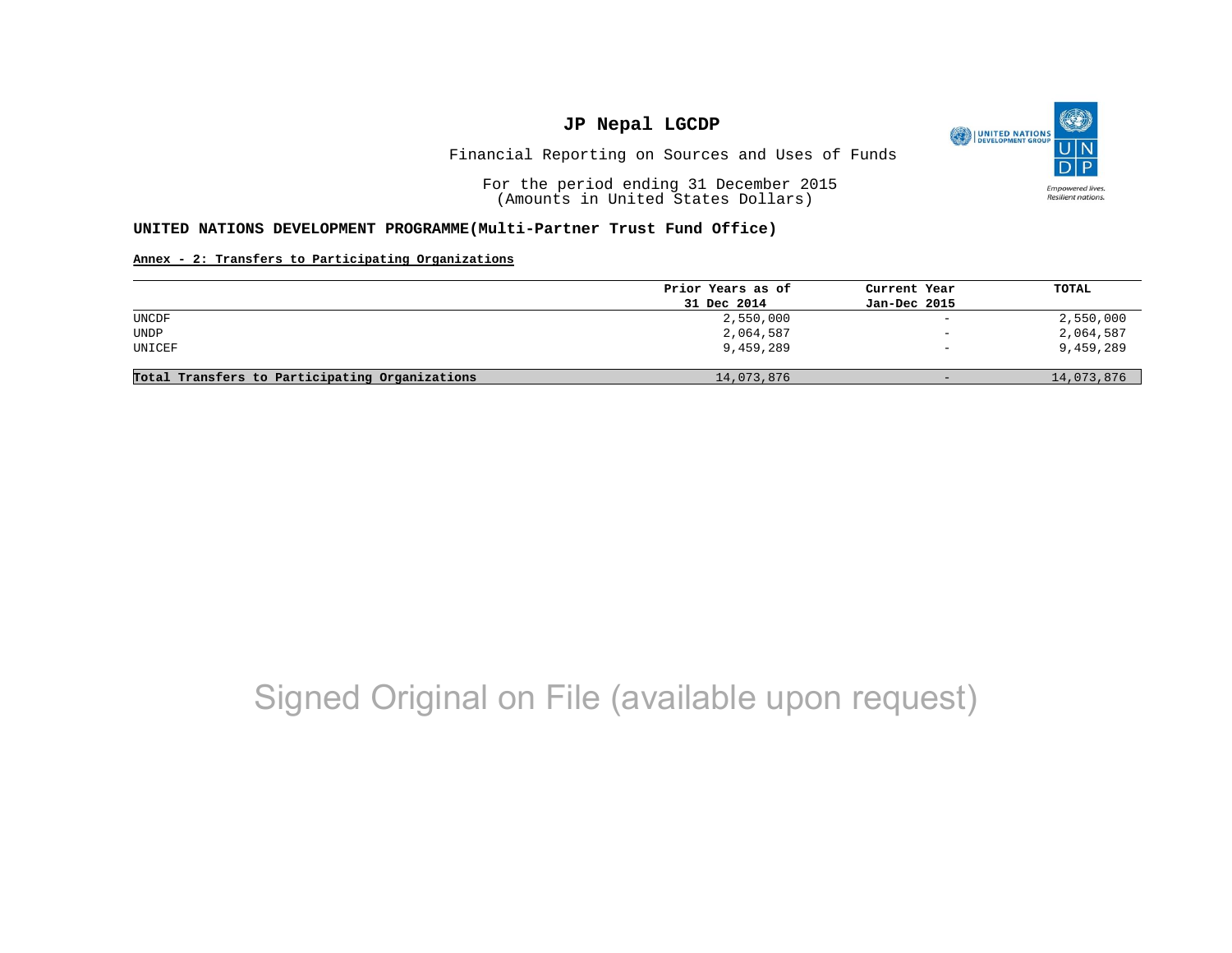

Financial Reporting on Sources and Uses of Funds

For the period ending 31 December 2015 (Amounts in United States Dollars)

#### **UNITED NATIONS DEVELOPMENT PROGRAMME(Multi-Partner Trust Fund Office)**

#### **Annex - 2: Transfers to Participating Organizations**

| Prior Years as of |                          |            |
|-------------------|--------------------------|------------|
|                   | Current Year             | TOTAL      |
| 31 Dec 2014       | Jan-Dec 2015             |            |
| 2,550,000         | $\overline{\phantom{a}}$ | 2,550,000  |
| 2,064,587         | $\qquad \qquad -$        | 2,064,587  |
| 9,459,289         | $\overline{\phantom{m}}$ | 9,459,289  |
| 14,073,876        | $-$                      | 14,073,876 |
|                   |                          |            |

## Signed Original on File (available upon request)